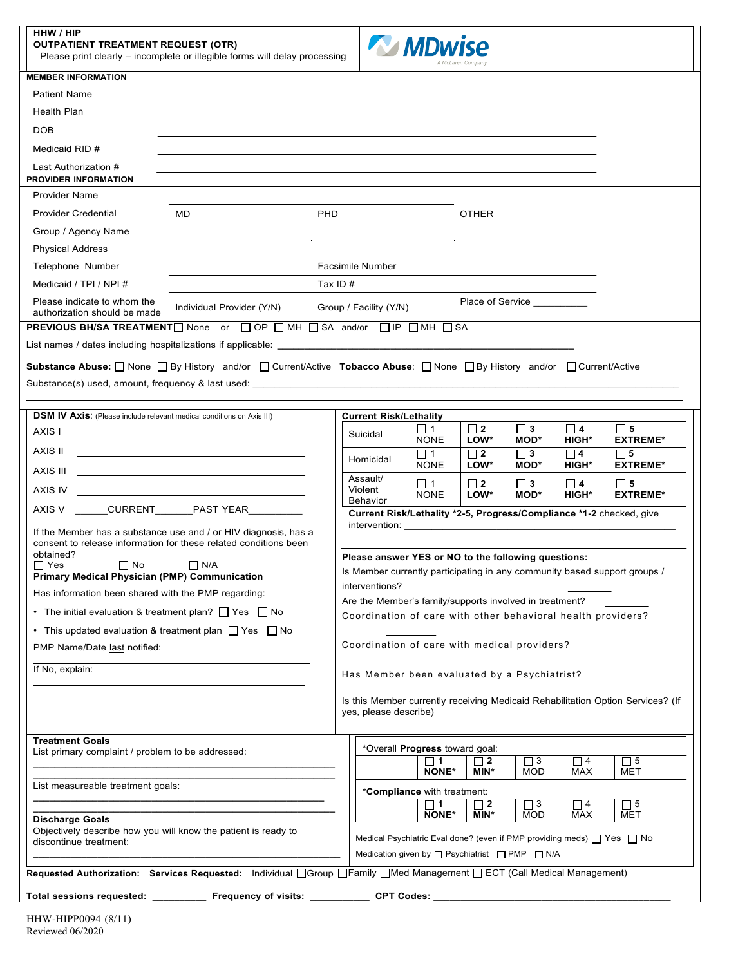| HHW / HIP            |  |  |
|----------------------|--|--|
| OUTRATIENT TREATMENT |  |  |

**OUTPATIENT TREATMENT REQUEST (OTR)**  Please print clearly – incomplete or illegible forms will delay processing



|                                                                                                                       | Please print clearly – incomplete or illegible forms will delay processing                                         |                               |                                                                                  |                                                                                                                                                                                                               | A McLaren Company |                        |                                                              |                                                                                 |  |  |
|-----------------------------------------------------------------------------------------------------------------------|--------------------------------------------------------------------------------------------------------------------|-------------------------------|----------------------------------------------------------------------------------|---------------------------------------------------------------------------------------------------------------------------------------------------------------------------------------------------------------|-------------------|------------------------|--------------------------------------------------------------|---------------------------------------------------------------------------------|--|--|
| <b>MEMBER INFORMATION</b>                                                                                             |                                                                                                                    |                               |                                                                                  |                                                                                                                                                                                                               |                   |                        |                                                              |                                                                                 |  |  |
| <b>Patient Name</b>                                                                                                   |                                                                                                                    |                               |                                                                                  |                                                                                                                                                                                                               |                   |                        |                                                              |                                                                                 |  |  |
| <b>Health Plan</b>                                                                                                    |                                                                                                                    |                               |                                                                                  |                                                                                                                                                                                                               |                   |                        |                                                              |                                                                                 |  |  |
| <b>DOB</b>                                                                                                            |                                                                                                                    |                               |                                                                                  |                                                                                                                                                                                                               |                   |                        |                                                              |                                                                                 |  |  |
| Medicaid RID #                                                                                                        |                                                                                                                    |                               |                                                                                  |                                                                                                                                                                                                               |                   |                        |                                                              |                                                                                 |  |  |
| Last Authorization #<br><b>PROVIDER INFORMATION</b>                                                                   |                                                                                                                    |                               |                                                                                  |                                                                                                                                                                                                               |                   |                        |                                                              |                                                                                 |  |  |
| <b>Provider Name</b>                                                                                                  |                                                                                                                    |                               |                                                                                  |                                                                                                                                                                                                               |                   |                        |                                                              |                                                                                 |  |  |
| <b>Provider Credential</b>                                                                                            | MD.                                                                                                                | PHD                           |                                                                                  |                                                                                                                                                                                                               | <b>OTHER</b>      |                        |                                                              |                                                                                 |  |  |
| Group / Agency Name                                                                                                   |                                                                                                                    |                               |                                                                                  |                                                                                                                                                                                                               |                   |                        |                                                              |                                                                                 |  |  |
| <b>Physical Address</b>                                                                                               |                                                                                                                    |                               |                                                                                  |                                                                                                                                                                                                               |                   |                        |                                                              |                                                                                 |  |  |
| Telephone Number                                                                                                      |                                                                                                                    | <b>Facsimile Number</b>       |                                                                                  |                                                                                                                                                                                                               |                   |                        |                                                              |                                                                                 |  |  |
| Medicaid / TPI / NPI #                                                                                                |                                                                                                                    | Tax ID $#$                    |                                                                                  |                                                                                                                                                                                                               |                   |                        |                                                              |                                                                                 |  |  |
| Please indicate to whom the<br>authorization should be made                                                           | Place of Service<br>Individual Provider (Y/N)<br>Group / Facility (Y/N)                                            |                               |                                                                                  |                                                                                                                                                                                                               |                   |                        |                                                              |                                                                                 |  |  |
|                                                                                                                       | PREVIOUS BH/SA TREATMENT□ None or □ OP □ MH □ SA and/or □ IP □ MH □ SA                                             |                               |                                                                                  |                                                                                                                                                                                                               |                   |                        |                                                              |                                                                                 |  |  |
|                                                                                                                       |                                                                                                                    |                               |                                                                                  |                                                                                                                                                                                                               |                   |                        |                                                              |                                                                                 |  |  |
|                                                                                                                       | Substance Abuse: None Sy History and/or Surrent/Active Tobacco Abuse: None Sy History and/or Surrent/Active        |                               |                                                                                  |                                                                                                                                                                                                               |                   |                        |                                                              |                                                                                 |  |  |
|                                                                                                                       |                                                                                                                    |                               |                                                                                  |                                                                                                                                                                                                               |                   |                        |                                                              |                                                                                 |  |  |
|                                                                                                                       |                                                                                                                    |                               |                                                                                  |                                                                                                                                                                                                               |                   |                        |                                                              |                                                                                 |  |  |
| <b>DSM IV Axis:</b> (Please include relevant medical conditions on Axis III)                                          |                                                                                                                    | <b>Current Risk/Lethality</b> |                                                                                  |                                                                                                                                                                                                               |                   |                        |                                                              |                                                                                 |  |  |
| AXIS I                                                                                                                |                                                                                                                    | Suicidal                      |                                                                                  | $\Box$ 1<br><b>NONE</b>                                                                                                                                                                                       | $\Box$ 2<br>LOW*  | $\Box$ 3<br>MOD*       | $\square$ 4<br><b>HIGH*</b>                                  | $\Box$ 5<br><b>EXTREME*</b>                                                     |  |  |
| AXIS II                                                                                                               | <u> 1989 - John Stone, Amerikaansk politiker († 1908)</u>                                                          | Homicidal                     |                                                                                  | $\Box$ 1                                                                                                                                                                                                      | $\Box$ 2          | $\Box$ 3               | $\Box$ 4                                                     | $\Box$ 5                                                                        |  |  |
| AXIS III                                                                                                              | <u> 1989 - Johann John Stone, Amerikaansk politiker (</u>                                                          | Assault/                      |                                                                                  | <b>NONE</b>                                                                                                                                                                                                   | LOW*              | MOD*                   | <b>HIGH*</b>                                                 | <b>EXTREME*</b>                                                                 |  |  |
|                                                                                                                       |                                                                                                                    | Violent<br>Behavior           |                                                                                  | $\Box$ 1<br><b>NONE</b>                                                                                                                                                                                       | $\Box$ 2<br>LOW*  | $\Box$ 3<br>MOD*       | $\Box$ 4<br><b>HIGH*</b>                                     | $\Box$ 5<br><b>EXTREME*</b>                                                     |  |  |
|                                                                                                                       | AXIS V _______CURRENT________PAST YEAR_________                                                                    |                               | Current Risk/Lethality *2-5, Progress/Compliance *1-2 checked, give              |                                                                                                                                                                                                               |                   |                        |                                                              |                                                                                 |  |  |
|                                                                                                                       | If the Member has a substance use and / or HIV diagnosis, has a                                                    |                               |                                                                                  |                                                                                                                                                                                                               |                   |                        |                                                              |                                                                                 |  |  |
| obtained?                                                                                                             | consent to release information for these related conditions been                                                   |                               |                                                                                  |                                                                                                                                                                                                               |                   |                        |                                                              |                                                                                 |  |  |
| $\Box$ Yes<br>$\Box$ No                                                                                               | $\Box$ N/A<br>Primary Medical Physician (PMP) Communication<br>Has information been shared with the PMP regarding: |                               |                                                                                  | Please answer YES or NO to the following questions:<br>Is Member currently participating in any community based support groups /<br>interventions?<br>Are the Member's family/supports involved in treatment? |                   |                        |                                                              |                                                                                 |  |  |
|                                                                                                                       |                                                                                                                    |                               |                                                                                  |                                                                                                                                                                                                               |                   |                        |                                                              |                                                                                 |  |  |
|                                                                                                                       |                                                                                                                    |                               |                                                                                  |                                                                                                                                                                                                               |                   |                        |                                                              |                                                                                 |  |  |
| • The initial evaluation & treatment plan? $\Box$ Yes $\Box$ No                                                       |                                                                                                                    |                               |                                                                                  |                                                                                                                                                                                                               |                   |                        | Coordination of care with other behavioral health providers? |                                                                                 |  |  |
| • This updated evaluation & treatment plan $\Box$ Yes $\Box$ No                                                       |                                                                                                                    |                               |                                                                                  |                                                                                                                                                                                                               |                   |                        |                                                              |                                                                                 |  |  |
| Coordination of care with medical providers?<br>PMP Name/Date last notified:                                          |                                                                                                                    |                               |                                                                                  |                                                                                                                                                                                                               |                   |                        |                                                              |                                                                                 |  |  |
| If No, explain:<br>Has Member been evaluated by a Psychiatrist?                                                       |                                                                                                                    |                               |                                                                                  |                                                                                                                                                                                                               |                   |                        |                                                              |                                                                                 |  |  |
|                                                                                                                       |                                                                                                                    | yes, please describe)         |                                                                                  |                                                                                                                                                                                                               |                   |                        |                                                              | Is this Member currently receiving Medicaid Rehabilitation Option Services? (If |  |  |
| <b>Treatment Goals</b><br>List primary complaint / problem to be addressed:                                           |                                                                                                                    |                               |                                                                                  | *Overall Progress toward goal:                                                                                                                                                                                |                   |                        |                                                              |                                                                                 |  |  |
|                                                                                                                       |                                                                                                                    |                               |                                                                                  | □ 1<br><b>NONE*</b>                                                                                                                                                                                           | $\Box$ 2<br>MIN*  | $\Box$ 3<br><b>MOD</b> | $\Box$ 4<br>MAX                                              | $\Box$ 5<br>MET                                                                 |  |  |
| List measureable treatment goals:                                                                                     |                                                                                                                    |                               |                                                                                  | *Compliance with treatment:                                                                                                                                                                                   |                   |                        |                                                              |                                                                                 |  |  |
|                                                                                                                       |                                                                                                                    |                               |                                                                                  | ∏ 1                                                                                                                                                                                                           | $\Box$ 2          | $\Box$ 3               | $\Box$ 4                                                     | $\Box$ 5                                                                        |  |  |
| <b>Discharge Goals</b>                                                                                                |                                                                                                                    |                               |                                                                                  | <b>NONE*</b>                                                                                                                                                                                                  | MIN*              | <b>MOD</b>             | <b>MAX</b>                                                   | <b>MET</b>                                                                      |  |  |
| Objectively describe how you will know the patient is ready to<br>discontinue treatment:                              |                                                                                                                    |                               | Medical Psychiatric Eval done? (even if PMP providing meds) $\Box$ Yes $\Box$ No |                                                                                                                                                                                                               |                   |                        |                                                              |                                                                                 |  |  |
| Medication given by $\Box$ Psychiatrist $\Box$ PMP $\Box$ N/A                                                         |                                                                                                                    |                               |                                                                                  |                                                                                                                                                                                                               |                   |                        |                                                              |                                                                                 |  |  |
| Requested Authorization: Services Requested: Individual OGroup OFamily OMed Management OECT (Call Medical Management) |                                                                                                                    |                               |                                                                                  |                                                                                                                                                                                                               |                   |                        |                                                              |                                                                                 |  |  |
| Total sessions requested: _______                                                                                     | Frequency of visits: __                                                                                            |                               | <b>CPT Codes:</b>                                                                |                                                                                                                                                                                                               |                   |                        |                                                              |                                                                                 |  |  |